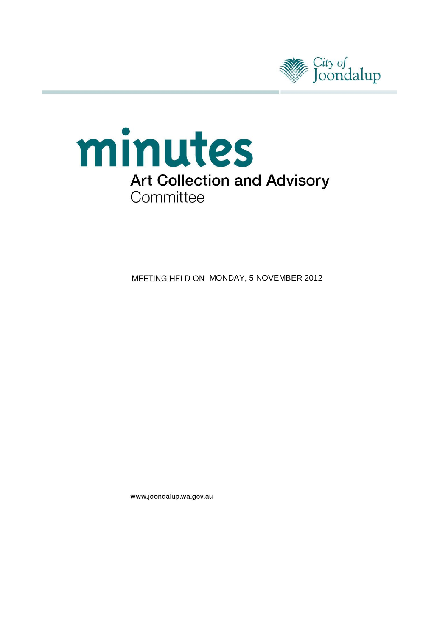



MEETING HELD ON MONDAY, 5 NOVEMBER 2012

www.joondalup.wa.gov.au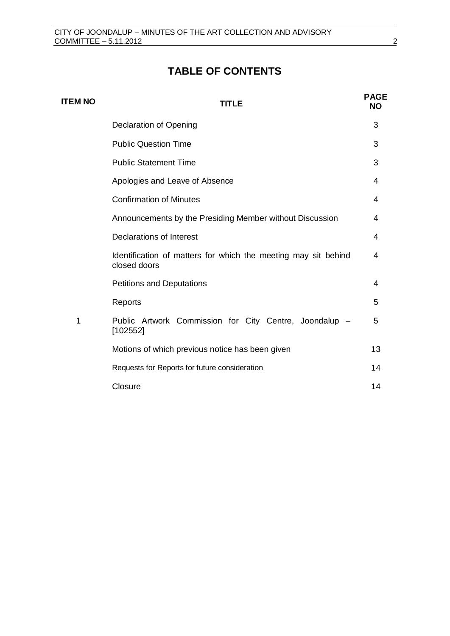# **TABLE OF CONTENTS**

| <b>ITEM NO</b> | TITLE                                                                          | <b>PAGE</b><br><b>NO</b> |
|----------------|--------------------------------------------------------------------------------|--------------------------|
|                | Declaration of Opening                                                         | 3                        |
|                | <b>Public Question Time</b>                                                    | 3                        |
|                | <b>Public Statement Time</b>                                                   | 3                        |
|                | Apologies and Leave of Absence                                                 | 4                        |
|                | <b>Confirmation of Minutes</b>                                                 | 4                        |
|                | Announcements by the Presiding Member without Discussion                       | 4                        |
|                | <b>Declarations of Interest</b>                                                | 4                        |
|                | Identification of matters for which the meeting may sit behind<br>closed doors | 4                        |
|                | <b>Petitions and Deputations</b>                                               | 4                        |
|                | Reports                                                                        | 5                        |
| 1              | Public Artwork Commission for City Centre, Joondalup -<br>[102552]             | 5                        |
|                | Motions of which previous notice has been given                                | 13                       |
|                | Requests for Reports for future consideration                                  | 14                       |
|                | Closure                                                                        | 14                       |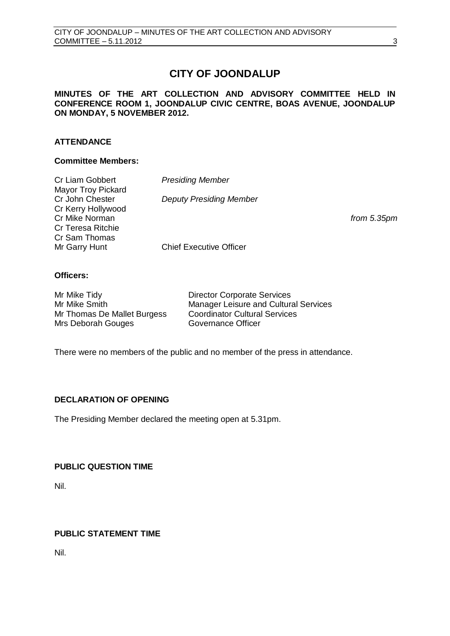# **CITY OF JOONDALUP**

# **MINUTES OF THE ART COLLECTION AND ADVISORY COMMITTEE HELD IN CONFERENCE ROOM 1, JOONDALUP CIVIC CENTRE, BOAS AVENUE, JOONDALUP ON MONDAY, 5 NOVEMBER 2012.**

# **ATTENDANCE**

#### **Committee Members:**

| Cr Liam Gobbert          | <b>Presiding Member</b>        |               |
|--------------------------|--------------------------------|---------------|
| Mayor Troy Pickard       |                                |               |
| Cr John Chester          | <b>Deputy Presiding Member</b> |               |
| Cr Kerry Hollywood       |                                |               |
| Cr Mike Norman           |                                | from $5.35pm$ |
| <b>Cr Teresa Ritchie</b> |                                |               |
| Cr Sam Thomas            |                                |               |
| Mr Garry Hunt            | <b>Chief Executive Officer</b> |               |

## **Officers:**

| Mr Mike Tidy                | <b>Director Corporate Services</b>           |
|-----------------------------|----------------------------------------------|
| Mr Mike Smith               | <b>Manager Leisure and Cultural Services</b> |
| Mr Thomas De Mallet Burgess | <b>Coordinator Cultural Services</b>         |
| Mrs Deborah Gouges          | Governance Officer                           |

There were no members of the public and no member of the press in attendance.

# <span id="page-2-0"></span>**DECLARATION OF OPENING**

The Presiding Member declared the meeting open at 5.31pm.

# <span id="page-2-1"></span>**PUBLIC QUESTION TIME**

Nil.

# <span id="page-2-2"></span>**PUBLIC STATEMENT TIME**

Nil.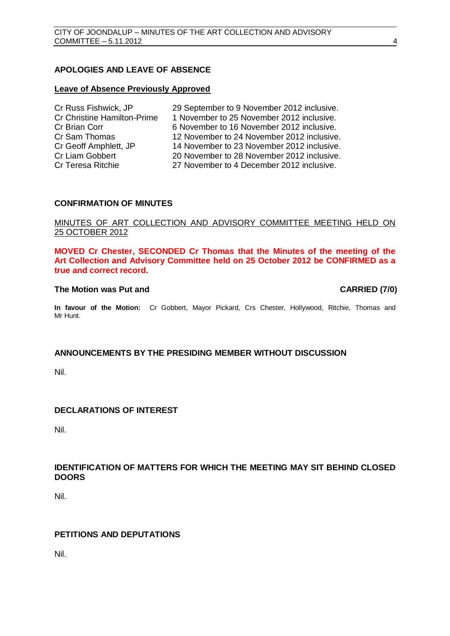# <span id="page-3-0"></span>**APOLOGIES AND LEAVE OF ABSENCE**

#### **Leave of Absence Previously Approved**

| Cr Russ Fishwick, JP               | 29 September to 9 November 2012 inclusive. |
|------------------------------------|--------------------------------------------|
| <b>Cr Christine Hamilton-Prime</b> | 1 November to 25 November 2012 inclusive.  |
| Cr Brian Corr                      | 6 November to 16 November 2012 inclusive.  |
| Cr Sam Thomas                      | 12 November to 24 November 2012 inclusive. |
| Cr Geoff Amphlett, JP              | 14 November to 23 November 2012 inclusive. |
| Cr Liam Gobbert                    | 20 November to 28 November 2012 inclusive. |
| Cr Teresa Ritchie                  | 27 November to 4 December 2012 inclusive.  |

## <span id="page-3-1"></span>**CONFIRMATION OF MINUTES**

#### MINUTES OF ART COLLECTION AND ADVISORY COMMITTEE MEETING HELD ON 25 OCTOBER 2012

**MOVED Cr Chester, SECONDED Cr Thomas that the Minutes of the meeting of the Art Collection and Advisory Committee held on 25 October 2012 be CONFIRMED as a true and correct record.**

#### **The Motion was Put and CARRIED (7/0)**

**In favour of the Motion:** Cr Gobbert, Mayor Pickard, Crs Chester, Hollywood, Ritchie, Thomas and Mr Hunt.

#### <span id="page-3-2"></span>**ANNOUNCEMENTS BY THE PRESIDING MEMBER WITHOUT DISCUSSION**

Nil.

# <span id="page-3-3"></span>**DECLARATIONS OF INTEREST**

Nil.

## <span id="page-3-4"></span>**IDENTIFICATION OF MATTERS FOR WHICH THE MEETING MAY SIT BEHIND CLOSED DOORS**

Nil.

# <span id="page-3-5"></span>**PETITIONS AND DEPUTATIONS**

Nil.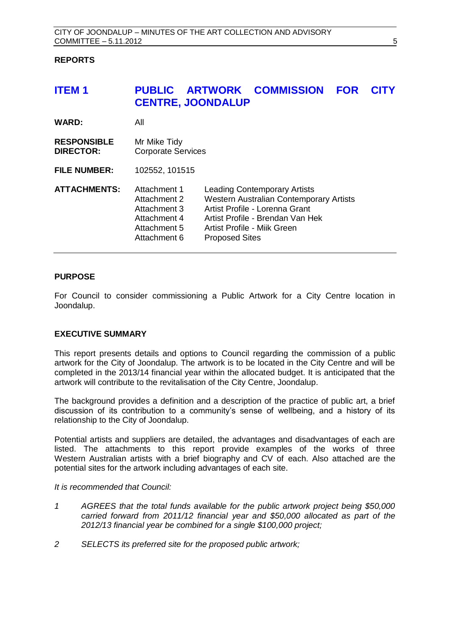## <span id="page-4-0"></span>**REPORTS**

# <span id="page-4-1"></span>**ITEM 1 PUBLIC ARTWORK COMMISSION FOR CITY CENTRE, JOONDALUP**

| <b>WARD:</b>                           | All                                                                                          |                                                                                                                                                                                                              |
|----------------------------------------|----------------------------------------------------------------------------------------------|--------------------------------------------------------------------------------------------------------------------------------------------------------------------------------------------------------------|
| <b>RESPONSIBLE</b><br><b>DIRECTOR:</b> | Mr Mike Tidy<br><b>Corporate Services</b>                                                    |                                                                                                                                                                                                              |
| <b>FILE NUMBER:</b>                    | 102552, 101515                                                                               |                                                                                                                                                                                                              |
| <b>ATTACHMENTS:</b>                    | Attachment 1<br>Attachment 2<br>Attachment 3<br>Attachment 4<br>Attachment 5<br>Attachment 6 | <b>Leading Contemporary Artists</b><br>Western Australian Contemporary Artists<br>Artist Profile - Lorenna Grant<br>Artist Profile - Brendan Van Hek<br>Artist Profile - Mijk Green<br><b>Proposed Sites</b> |

# **PURPOSE**

For Council to consider commissioning a Public Artwork for a City Centre location in Joondalup.

#### **EXECUTIVE SUMMARY**

This report presents details and options to Council regarding the commission of a public artwork for the City of Joondalup. The artwork is to be located in the City Centre and will be completed in the 2013/14 financial year within the allocated budget. It is anticipated that the artwork will contribute to the revitalisation of the City Centre, Joondalup.

The background provides a definition and a description of the practice of public art, a brief discussion of its contribution to a community's sense of wellbeing, and a history of its relationship to the City of Joondalup.

Potential artists and suppliers are detailed, the advantages and disadvantages of each are listed. The attachments to this report provide examples of the works of three Western Australian artists with a brief biography and CV of each. Also attached are the potential sites for the artwork including advantages of each site.

#### *It is recommended that Council:*

- *1 AGREES that the total funds available for the public artwork project being \$50,000 carried forward from 2011/12 financial year and \$50,000 allocated as part of the 2012/13 financial year be combined for a single \$100,000 project;*
- *2 SELECTS its preferred site for the proposed public artwork;*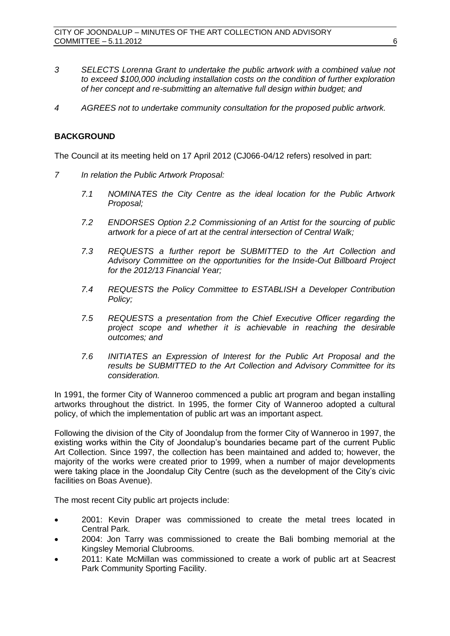- *3 SELECTS Lorenna Grant to undertake the public artwork with a combined value not to exceed \$100,000 including installation costs on the condition of further exploration of her concept and re-submitting an alternative full design within budget; and*
- *4 AGREES not to undertake community consultation for the proposed public artwork.*

# **BACKGROUND**

The Council at its meeting held on 17 April 2012 (CJ066-04/12 refers) resolved in part:

- *7 In relation the Public Artwork Proposal:*
	- *7.1 NOMINATES the City Centre as the ideal location for the Public Artwork Proposal;*
	- *7.2 ENDORSES Option 2.2 Commissioning of an Artist for the sourcing of public artwork for a piece of art at the central intersection of Central Walk;*
	- *7.3 REQUESTS a further report be SUBMITTED to the Art Collection and Advisory Committee on the opportunities for the Inside-Out Billboard Project for the 2012/13 Financial Year;*
	- *7.4 REQUESTS the Policy Committee to ESTABLISH a Developer Contribution Policy;*
	- *7.5 REQUESTS a presentation from the Chief Executive Officer regarding the project scope and whether it is achievable in reaching the desirable outcomes; and*
	- *7.6 INITIATES an Expression of Interest for the Public Art Proposal and the results be SUBMITTED to the Art Collection and Advisory Committee for its consideration.*

In 1991, the former City of Wanneroo commenced a public art program and began installing artworks throughout the district. In 1995, the former City of Wanneroo adopted a cultural policy, of which the implementation of public art was an important aspect.

Following the division of the City of Joondalup from the former City of Wanneroo in 1997, the existing works within the City of Joondalup's boundaries became part of the current Public Art Collection. Since 1997, the collection has been maintained and added to; however, the majority of the works were created prior to 1999, when a number of major developments were taking place in the Joondalup City Centre (such as the development of the City's civic facilities on Boas Avenue).

The most recent City public art projects include:

- 2001: Kevin Draper was commissioned to create the metal trees located in Central Park.
- 2004: Jon Tarry was commissioned to create the Bali bombing memorial at the Kingsley Memorial Clubrooms.
- 2011: Kate McMillan was commissioned to create a work of public art at Seacrest Park Community Sporting Facility.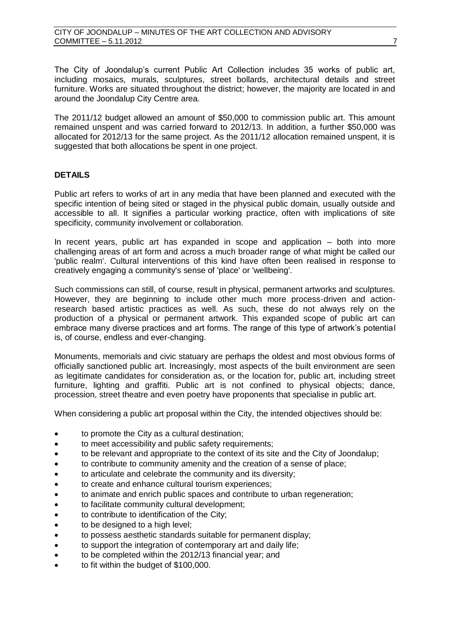The City of Joondalup's current Public Art Collection includes 35 works of public art, including mosaics, murals, sculptures, street bollards, architectural details and street furniture. Works are situated throughout the district; however, the majority are located in and around the Joondalup City Centre area.

The 2011/12 budget allowed an amount of \$50,000 to commission public art. This amount remained unspent and was carried forward to 2012/13. In addition, a further \$50,000 was allocated for 2012/13 for the same project. As the 2011/12 allocation remained unspent, it is suggested that both allocations be spent in one project.

# **DETAILS**

Public art refers to works of art in any media that have been planned and executed with the specific intention of being sited or staged in the physical public domain, usually outside and accessible to all. It signifies a particular working practice, often with implications of site specificity, community involvement or collaboration.

In recent years, public art has expanded in scope and application – both into more challenging areas of art form and across a much broader range of what might be called our 'public realm'. Cultural interventions of this kind have often been realised in response to creatively engaging a community's sense of 'place' or 'wellbeing'.

Such commissions can still, of course, result in physical, permanent artworks and sculptures. However, they are beginning to include other much more process-driven and actionresearch based artistic practices as well. As such, these do not always rely on the production of a physical or permanent artwork. This expanded scope of public art can embrace many diverse practices and art forms. The range of this type of artwork's potential is, of course, endless and ever-changing.

Monuments, memorials and civic statuary are perhaps the oldest and most obvious forms of officially sanctioned public art. Increasingly, most aspects of the built environment are seen as legitimate candidates for consideration as, or the location for, public art, including street furniture, lighting and graffiti. Public art is not confined to physical objects; dance, procession, street theatre and even poetry have proponents that specialise in public art.

When considering a public art proposal within the City, the intended objectives should be:

- to promote the City as a cultural destination;
- to meet accessibility and public safety requirements;
- to be relevant and appropriate to the context of its site and the City of Joondalup;
- to contribute to community amenity and the creation of a sense of place;
- to articulate and celebrate the community and its diversity;
- to create and enhance cultural tourism experiences;
- to animate and enrich public spaces and contribute to urban regeneration;
- to facilitate community cultural development;
- to contribute to identification of the City;
- to be designed to a high level;
- to possess aesthetic standards suitable for permanent display;
- to support the integration of contemporary art and daily life;
- to be completed within the 2012/13 financial year; and
- to fit within the budget of \$100,000.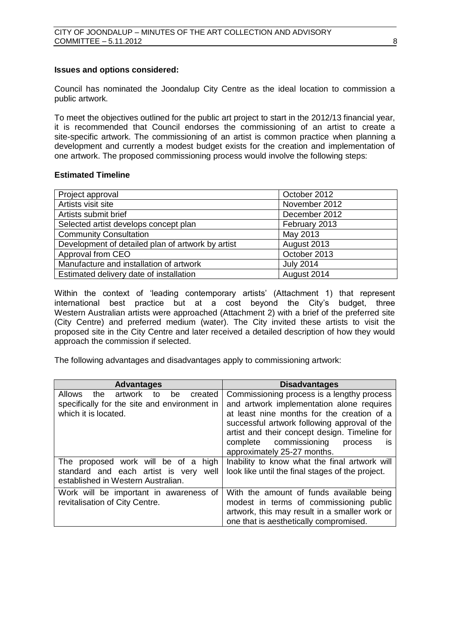## **Issues and options considered:**

Council has nominated the Joondalup City Centre as the ideal location to commission a public artwork.

To meet the objectives outlined for the public art project to start in the 2012/13 financial year, it is recommended that Council endorses the commissioning of an artist to create a site-specific artwork. The commissioning of an artist is common practice when planning a development and currently a modest budget exists for the creation and implementation of one artwork. The proposed commissioning process would involve the following steps:

# **Estimated Timeline**

| Project approval                                  | October 2012     |
|---------------------------------------------------|------------------|
| Artists visit site                                | November 2012    |
| Artists submit brief                              | December 2012    |
| Selected artist develops concept plan             | February 2013    |
| <b>Community Consultation</b>                     | May 2013         |
| Development of detailed plan of artwork by artist | August 2013      |
| Approval from CEO                                 | October 2013     |
| Manufacture and installation of artwork           | <b>July 2014</b> |
| Estimated delivery date of installation           | August 2014      |

Within the context of 'leading contemporary artists' (Attachment 1) that represent international best practice but at a cost beyond the City's budget, three Western Australian artists were approached (Attachment 2) with a brief of the preferred site (City Centre) and preferred medium (water). The City invited these artists to visit the proposed site in the City Centre and later received a detailed description of how they would approach the commission if selected.

The following advantages and disadvantages apply to commissioning artwork:

| <b>Advantages</b>                                                                                                               | <b>Disadvantages</b>                                                                                                                                                                                                                                                                                                       |
|---------------------------------------------------------------------------------------------------------------------------------|----------------------------------------------------------------------------------------------------------------------------------------------------------------------------------------------------------------------------------------------------------------------------------------------------------------------------|
| <b>Allows</b><br>created<br>artwork<br>the.<br>to<br>be<br>specifically for the site and environment in<br>which it is located. | Commissioning process is a lengthy process<br>and artwork implementation alone requires<br>at least nine months for the creation of a<br>successful artwork following approval of the<br>artist and their concept design. Timeline for<br>commissioning<br>complete<br>process<br><b>IS</b><br>approximately 25-27 months. |
| The proposed work will be of a<br>high<br>standard and each artist is very<br>well<br>established in Western Australian.        | Inability to know what the final artwork will<br>look like until the final stages of the project.                                                                                                                                                                                                                          |
| Work will be important in awareness of<br>revitalisation of City Centre.                                                        | With the amount of funds available being<br>modest in terms of commissioning public<br>artwork, this may result in a smaller work or<br>one that is aesthetically compromised.                                                                                                                                             |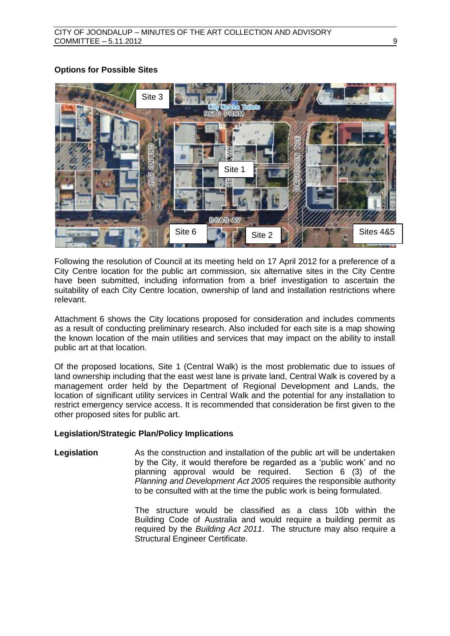# **Options for Possible Sites**



Following the resolution of Council at its meeting held on 17 April 2012 for a preference of a City Centre location for the public art commission, six alternative sites in the City Centre have been submitted, including information from a brief investigation to ascertain the suitability of each City Centre location, ownership of land and installation restrictions where relevant.

Attachment 6 shows the City locations proposed for consideration and includes comments as a result of conducting preliminary research. Also included for each site is a map showing the known location of the main utilities and services that may impact on the ability to install public art at that location.

Of the proposed locations, Site 1 (Central Walk) is the most problematic due to issues of land ownership including that the east west lane is private land, Central Walk is covered by a management order held by the Department of Regional Development and Lands, the location of significant utility services in Central Walk and the potential for any installation to restrict emergency service access. It is recommended that consideration be first given to the other proposed sites for public art.

# **Legislation/Strategic Plan/Policy Implications**

**Legislation** As the construction and installation of the public art will be undertaken by the City, it would therefore be regarded as a 'public work' and no planning approval would be required. Section 6 (3) of the *Planning and Development Act 2005* requires the responsible authority to be consulted with at the time the public work is being formulated.

> The structure would be classified as a class 10b within the Building Code of Australia and would require a building permit as required by the *Building Act 2011*. The structure may also require a Structural Engineer Certificate.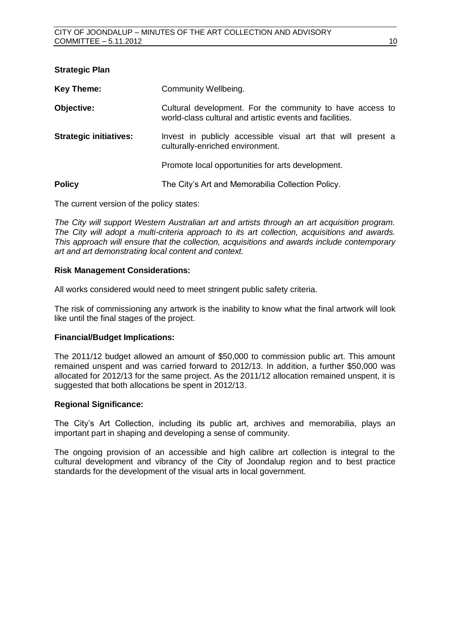| <b>Strategic Plan</b>         |                                                                                                                       |
|-------------------------------|-----------------------------------------------------------------------------------------------------------------------|
| <b>Key Theme:</b>             | Community Wellbeing.                                                                                                  |
| Objective:                    | Cultural development. For the community to have access to<br>world-class cultural and artistic events and facilities. |
| <b>Strategic initiatives:</b> | Invest in publicly accessible visual art that will present a<br>culturally-enriched environment.                      |
|                               | Promote local opportunities for arts development.                                                                     |
| <b>Policy</b>                 | The City's Art and Memorabilia Collection Policy.                                                                     |

The current version of the policy states:

*The City will support Western Australian art and artists through an art acquisition program. The City will adopt a multi-criteria approach to its art collection, acquisitions and awards. This approach will ensure that the collection, acquisitions and awards include contemporary art and art demonstrating local content and context.*

## **Risk Management Considerations:**

All works considered would need to meet stringent public safety criteria.

The risk of commissioning any artwork is the inability to know what the final artwork will look like until the final stages of the project.

# **Financial/Budget Implications:**

The 2011/12 budget allowed an amount of \$50,000 to commission public art. This amount remained unspent and was carried forward to 2012/13. In addition, a further \$50,000 was allocated for 2012/13 for the same project. As the 2011/12 allocation remained unspent, it is suggested that both allocations be spent in 2012/13.

# **Regional Significance:**

The City's Art Collection, including its public art, archives and memorabilia, plays an important part in shaping and developing a sense of community.

The ongoing provision of an accessible and high calibre art collection is integral to the cultural development and vibrancy of the City of Joondalup region and to best practice standards for the development of the visual arts in local government.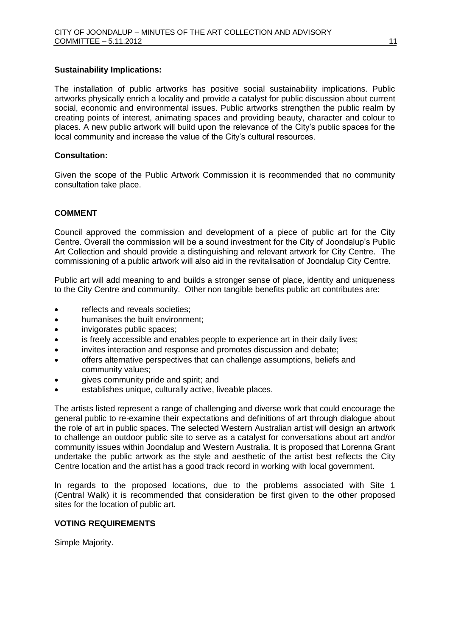## **Sustainability Implications:**

The installation of public artworks has positive social sustainability implications. Public artworks physically enrich a locality and provide a catalyst for public discussion about current social, economic and environmental issues. Public artworks strengthen the public realm by creating points of interest, animating spaces and providing beauty, character and colour to places. A new public artwork will build upon the relevance of the City's public spaces for the local community and increase the value of the City's cultural resources.

# **Consultation:**

Given the scope of the Public Artwork Commission it is recommended that no community consultation take place.

# **COMMENT**

Council approved the commission and development of a piece of public art for the City Centre. Overall the commission will be a sound investment for the City of Joondalup's Public Art Collection and should provide a distinguishing and relevant artwork for City Centre. The commissioning of a public artwork will also aid in the revitalisation of Joondalup City Centre.

Public art will add meaning to and builds a stronger sense of place, identity and uniqueness to the City Centre and community. Other non tangible benefits public art contributes are:

- reflects and reveals societies;
- humanises the built environment;
- invigorates public spaces;
- is freely accessible and enables people to experience art in their daily lives;
- invites interaction and response and promotes discussion and debate;
- offers alternative perspectives that can challenge assumptions, beliefs and community values;
- gives community pride and spirit; and
- establishes unique, culturally active, liveable places.

The artists listed represent a range of challenging and diverse work that could encourage the general public to re-examine their expectations and definitions of art through dialogue about the role of art in public spaces. The selected Western Australian artist will design an artwork to challenge an outdoor public site to serve as a catalyst for conversations about art and/or community issues within Joondalup and Western Australia. It is proposed that Lorenna Grant undertake the public artwork as the style and aesthetic of the artist best reflects the City Centre location and the artist has a good track record in working with local government.

In regards to the proposed locations, due to the problems associated with Site 1 (Central Walk) it is recommended that consideration be first given to the other proposed sites for the location of public art.

#### **VOTING REQUIREMENTS**

Simple Majority.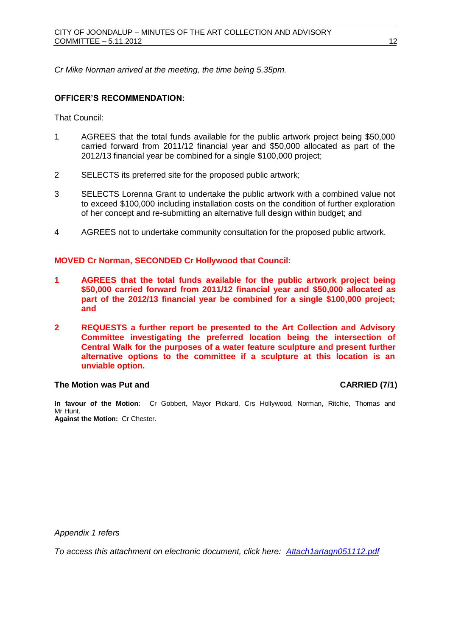*Cr Mike Norman arrived at the meeting, the time being 5.35pm.*

## **OFFICER'S RECOMMENDATION:**

That Council:

- 1 AGREES that the total funds available for the public artwork project being \$50,000 carried forward from 2011/12 financial year and \$50,000 allocated as part of the 2012/13 financial year be combined for a single \$100,000 project;
- 2 SELECTS its preferred site for the proposed public artwork;
- 3 SELECTS Lorenna Grant to undertake the public artwork with a combined value not to exceed \$100,000 including installation costs on the condition of further exploration of her concept and re-submitting an alternative full design within budget; and
- 4 AGREES not to undertake community consultation for the proposed public artwork.

## **MOVED Cr Norman, SECONDED Cr Hollywood that Council:**

- **1 AGREES that the total funds available for the public artwork project being \$50,000 carried forward from 2011/12 financial year and \$50,000 allocated as part of the 2012/13 financial year be combined for a single \$100,000 project; and**
- **2 REQUESTS a further report be presented to the Art Collection and Advisory Committee investigating the preferred location being the intersection of Central Walk for the purposes of a water feature sculpture and present further alternative options to the committee if a sculpture at this location is an unviable option.**

#### **The Motion was Put and CARRIED (7/1)**

**In favour of the Motion:** Cr Gobbert, Mayor Pickard, Crs Hollywood, Norman, Ritchie, Thomas and Mr Hunt. **Against the Motion:** Cr Chester.

*Appendix 1 refers*

*To access this attachment on electronic document, click here:<Attach1artagn051112.pdf>*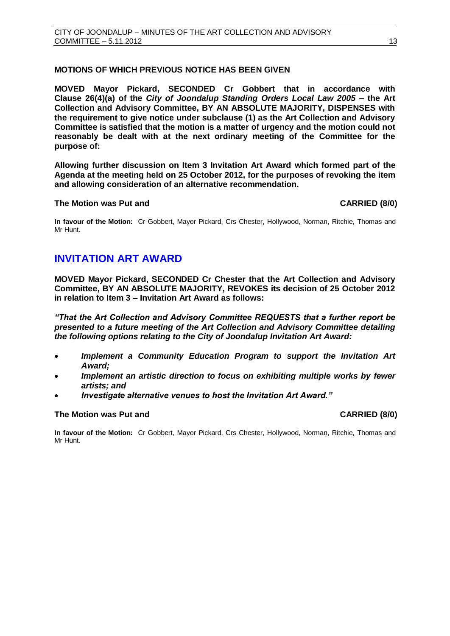# <span id="page-12-0"></span>**MOTIONS OF WHICH PREVIOUS NOTICE HAS BEEN GIVEN**

**MOVED Mayor Pickard, SECONDED Cr Gobbert that in accordance with Clause 26(4)(a) of the** *City of Joondalup Standing Orders Local Law 2005* **– the Art Collection and Advisory Committee, BY AN ABSOLUTE MAJORITY, DISPENSES with the requirement to give notice under subclause (1) as the Art Collection and Advisory Committee is satisfied that the motion is a matter of urgency and the motion could not reasonably be dealt with at the next ordinary meeting of the Committee for the purpose of:**

**Allowing further discussion on Item 3 Invitation Art Award which formed part of the Agenda at the meeting held on 25 October 2012, for the purposes of revoking the item and allowing consideration of an alternative recommendation.** 

#### **The Motion was Put and CARRIED (8/0)**

**In favour of the Motion:** Cr Gobbert, Mayor Pickard, Crs Chester, Hollywood, Norman, Ritchie, Thomas and Mr Hunt.

# **INVITATION ART AWARD**

**MOVED Mayor Pickard, SECONDED Cr Chester that the Art Collection and Advisory Committee, BY AN ABSOLUTE MAJORITY, REVOKES its decision of 25 October 2012 in relation to Item 3 – Invitation Art Award as follows:**

*"That the Art Collection and Advisory Committee REQUESTS that a further report be presented to a future meeting of the Art Collection and Advisory Committee detailing the following options relating to the City of Joondalup Invitation Art Award:*

- *Implement a Community Education Program to support the Invitation Art Award;*
- *Implement an artistic direction to focus on exhibiting multiple works by fewer artists; and*
- *Investigate alternative venues to host the Invitation Art Award."*

#### **The Motion was Put and CARRIED (8/0)**

**In favour of the Motion:** Cr Gobbert, Mayor Pickard, Crs Chester, Hollywood, Norman, Ritchie, Thomas and Mr Hunt.